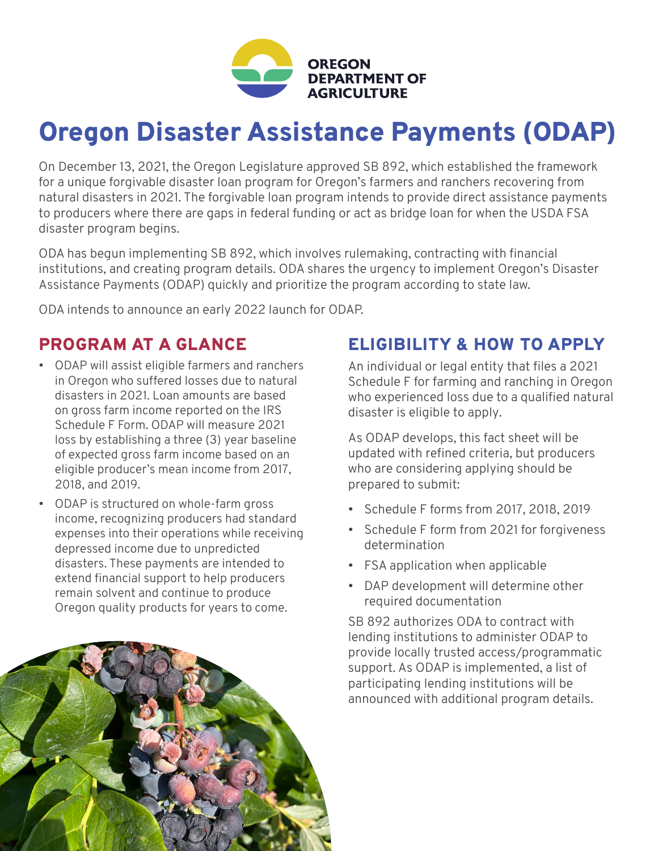

# Oregon Disaster Assistance Payments (ODAP)

On December 13, 2021, the Oregon Legislature approved SB 892, which established the framework for a unique forgivable disaster loan program for Oregon's farmers and ranchers recovering from natural disasters in 2021. The forgivable loan program intends to provide direct assistance payments to producers where there are gaps in federal funding or act as bridge loan for when the USDA FSA disaster program begins.

ODA has begun implementing SB 892, which involves rulemaking, contracting with financial institutions, and creating program details. ODA shares the urgency to implement Oregon's Disaster Assistance Payments (ODAP) quickly and prioritize the program according to state law.

ODA intends to announce an early 2022 launch for ODAP.

#### PROGRAM AT A GLANCE

- ODAP will assist eligible farmers and ranchers in Oregon who suffered losses due to natural disasters in 2021. Loan amounts are based on gross farm income reported on the IRS Schedule F Form. ODAP will measure 2021 loss by establishing a three (3) year baseline of expected gross farm income based on an eligible producer's mean income from 2017, 2018, and 2019.
- ODAP is structured on whole-farm gross income, recognizing producers had standard expenses into their operations while receiving depressed income due to unpredicted disasters. These payments are intended to extend financial support to help producers remain solvent and continue to produce Oregon quality products for years to come.

#### ELIGIBILITY & HOW TO APPLY

An individual or legal entity that files a 2021 Schedule F for farming and ranching in Oregon who experienced loss due to a qualified natural disaster is eligible to apply.

As ODAP develops, this fact sheet will be updated with refined criteria, but producers who are considering applying should be prepared to submit:

- Schedule F forms from 2017, 2018, 2019
- Schedule F form from 2021 for forgiveness determination
- FSA application when applicable
- DAP development will determine other required documentation

SB 892 authorizes ODA to contract with lending institutions to administer ODAP to provide locally trusted access/programmatic support. As ODAP is implemented, a list of participating lending institutions will be announced with additional program details.